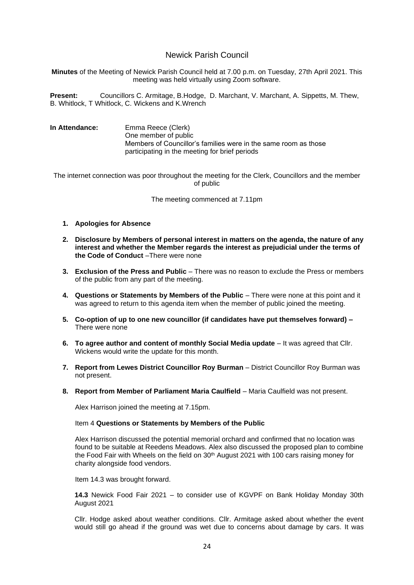# Newick Parish Council

**Minutes** of the Meeting of Newick Parish Council held at 7.00 p.m. on Tuesday, 27th April 2021. This meeting was held virtually using Zoom software.

**Present:** Councillors C. Armitage, B.Hodge, D. Marchant, V. Marchant, A. Sippetts, M. Thew, B. Whitlock, T Whitlock, C. Wickens and K.Wrench

**In Attendance:** Emma Reece (Clerk) One member of public Members of Councillor's families were in the same room as those participating in the meeting for brief periods

The internet connection was poor throughout the meeting for the Clerk, Councillors and the member of public

The meeting commenced at 7.11pm

- **1. Apologies for Absence**
- **2. Disclosure by Members of personal interest in matters on the agenda, the nature of any interest and whether the Member regards the interest as prejudicial under the terms of the Code of Conduct** –There were none
- **3. Exclusion of the Press and Public** There was no reason to exclude the Press or members of the public from any part of the meeting.
- **4. Questions or Statements by Members of the Public** There were none at this point and it was agreed to return to this agenda item when the member of public joined the meeting.
- **5. Co-option of up to one new councillor (if candidates have put themselves forward) –** There were none
- **6. To agree author and content of monthly Social Media update** It was agreed that Cllr. Wickens would write the update for this month.
- **7. Report from Lewes District Councillor Roy Burman** District Councillor Roy Burman was not present.
- **8. Report from Member of Parliament Maria Caulfield** Maria Caulfield was not present.

Alex Harrison joined the meeting at 7.15pm.

#### Item 4 **Questions or Statements by Members of the Public**

Alex Harrison discussed the potential memorial orchard and confirmed that no location was found to be suitable at Reedens Meadows. Alex also discussed the proposed plan to combine the Food Fair with Wheels on the field on 30<sup>th</sup> August 2021 with 100 cars raising money for charity alongside food vendors.

Item 14.3 was brought forward.

**14.3** Newick Food Fair 2021 – to consider use of KGVPF on Bank Holiday Monday 30th August 2021

Cllr. Hodge asked about weather conditions. Cllr. Armitage asked about whether the event would still go ahead if the ground was wet due to concerns about damage by cars. It was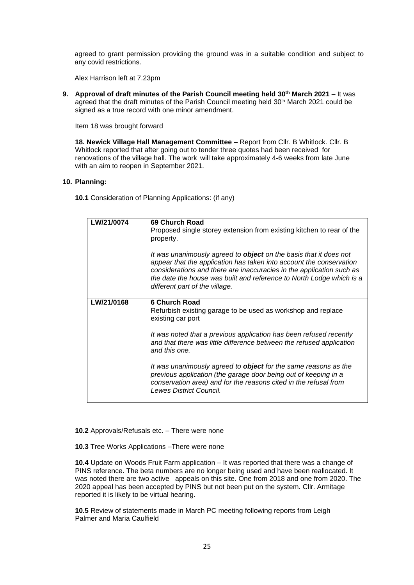agreed to grant permission providing the ground was in a suitable condition and subject to any covid restrictions.

Alex Harrison left at 7.23pm

**9. Approval of draft minutes of the Parish Council meeting held 30th March 2021** – It was agreed that the draft minutes of the Parish Council meeting held 30<sup>th</sup> March 2021 could be signed as a true record with one minor amendment.

Item 18 was brought forward

**18. Newick Village Hall Management Committee** – Report from Cllr. B Whitlock. Cllr. B Whitlock reported that after going out to tender three quotes had been received for renovations of the village hall. The work will take approximately 4-6 weeks from late June with an aim to reopen in September 2021.

#### **10. Planning:**

**10.1** Consideration of Planning Applications: (if any)

| LW/21/0074 | 69 Church Road<br>Proposed single storey extension from existing kitchen to rear of the<br>property.<br>It was unanimously agreed to <b>object</b> on the basis that it does not<br>appear that the application has taken into account the conservation<br>considerations and there are inaccuracies in the application such as<br>the date the house was built and reference to North Lodge which is a<br>different part of the village.                                                                            |
|------------|----------------------------------------------------------------------------------------------------------------------------------------------------------------------------------------------------------------------------------------------------------------------------------------------------------------------------------------------------------------------------------------------------------------------------------------------------------------------------------------------------------------------|
| LW/21/0168 | <b>6 Church Road</b><br>Refurbish existing garage to be used as workshop and replace<br>existing car port<br>It was noted that a previous application has been refused recently<br>and that there was little difference between the refused application<br>and this one.<br>It was unanimously agreed to <b>object</b> for the same reasons as the<br>previous application (the garage door being out of keeping in a<br>conservation area) and for the reasons cited in the refusal from<br>Lewes District Council. |

**10.2** Approvals/Refusals etc. – There were none

**10.3** Tree Works Applications –There were none

**10.4** Update on Woods Fruit Farm application – It was reported that there was a change of PINS reference. The beta numbers are no longer being used and have been reallocated. It was noted there are two active appeals on this site. One from 2018 and one from 2020. The 2020 appeal has been accepted by PINS but not been put on the system. Cllr. Armitage reported it is likely to be virtual hearing.

**10.5** Review of statements made in March PC meeting following reports from Leigh Palmer and Maria Caulfield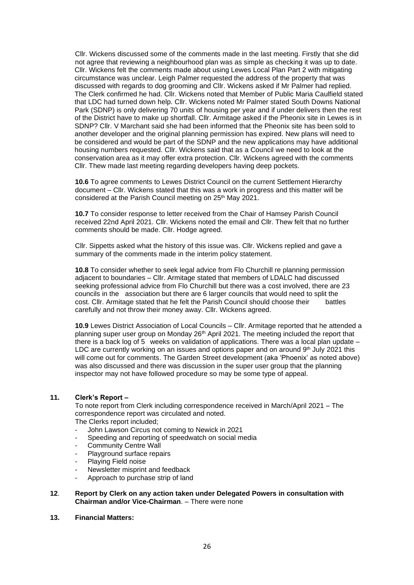Cllr. Wickens discussed some of the comments made in the last meeting. Firstly that she did not agree that reviewing a neighbourhood plan was as simple as checking it was up to date. Cllr. Wickens felt the comments made about using Lewes Local Plan Part 2 with mitigating circumstance was unclear. Leigh Palmer requested the address of the property that was discussed with regards to dog grooming and Cllr. Wickens asked if Mr Palmer had replied. The Clerk confirmed he had. Cllr. Wickens noted that Member of Public Maria Caulfield stated that LDC had turned down help. Cllr. Wickens noted Mr Palmer stated South Downs National Park (SDNP) is only delivering 70 units of housing per year and if under delivers then the rest of the District have to make up shortfall. Cllr. Armitage asked if the Pheonix site in Lewes is in SDNP? Cllr. V Marchant said she had been informed that the Pheonix site has been sold to another developer and the original planning permission has expired. New plans will need to be considered and would be part of the SDNP and the new applications may have additional housing numbers requested. Cllr. Wickens said that as a Council we need to look at the conservation area as it may offer extra protection. Cllr. Wickens agreed with the comments Cllr. Thew made last meeting regarding developers having deep pockets.

**10.6** To agree comments to Lewes District Council on the current Settlement Hierarchy document – Cllr. Wickens stated that this was a work in progress and this matter will be considered at the Parish Council meeting on 25<sup>th</sup> May 2021.

**10.7** To consider response to letter received from the Chair of Hamsey Parish Council received 22nd April 2021. Cllr. Wickens noted the email and Cllr. Thew felt that no further comments should be made. Cllr. Hodge agreed.

Cllr. Sippetts asked what the history of this issue was. Cllr. Wickens replied and gave a summary of the comments made in the interim policy statement.

**10.8** To consider whether to seek legal advice from Flo Churchill re planning permission adjacent to boundaries – Cllr. Armitage stated that members of LDALC had discussed seeking professional advice from Flo Churchill but there was a cost involved, there are 23 councils in the association but there are 6 larger councils that would need to split the cost. Cllr. Armitage stated that he felt the Parish Council should choose their battles carefully and not throw their money away. Cllr. Wickens agreed.

**10.9** Lewes District Association of Local Councils – Cllr. Armitage reported that he attended a planning super user group on Monday 26<sup>th</sup> April 2021. The meeting included the report that there is a back log of 5 weeks on validation of applications. There was a local plan update – LDC are currently working on an issues and options paper and on around 9<sup>th</sup> July 2021 this will come out for comments. The Garden Street development (aka 'Phoenix' as noted above) was also discussed and there was discussion in the super user group that the planning inspector may not have followed procedure so may be some type of appeal.

### **11. Clerk's Report –**

To note report from Clerk including correspondence received in March/April 2021 – The correspondence report was circulated and noted. The Clerks report included;

- John Lawson Circus not coming to Newick in 2021
- Speeding and reporting of speedwatch on social media
- Community Centre Wall
- Playground surface repairs
- Playing Field noise
- Newsletter misprint and feedback
- Approach to purchase strip of land

### **12**. **Report by Clerk on any action taken under Delegated Powers in consultation with Chairman and/or Vice-Chairman**. – There were none

**13. Financial Matters:**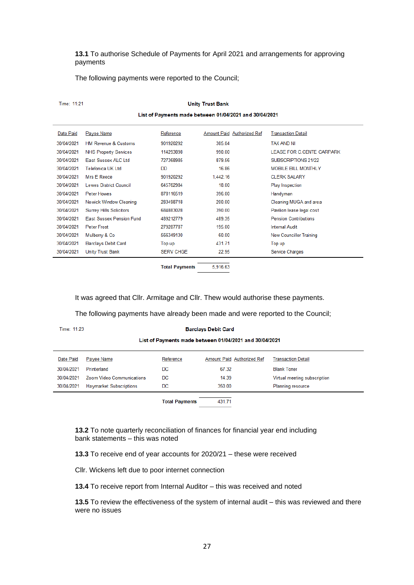**13.1** To authorise Schedule of Payments for April 2021 and arrangements for approving payments

The following payments were reported to the Council;

| Time: 11:21                                             |                                 |                  |          |                                   |                                |  |  |  |  |
|---------------------------------------------------------|---------------------------------|------------------|----------|-----------------------------------|--------------------------------|--|--|--|--|
| List of Payments made between 01/04/2021 and 30/04/2021 |                                 |                  |          |                                   |                                |  |  |  |  |
| Date Paid                                               | Payee Name                      | Reference        |          | <b>Amount Paid Authorized Ref</b> | <b>Transaction Detail</b>      |  |  |  |  |
| 30/04/2021                                              | <b>HM Revenue &amp; Customs</b> | 901920292        | 385.04   |                                   | <b>TAX AND NI</b>              |  |  |  |  |
| 30/04/2021                                              | <b>NHS Property Services</b>    | 114293898        | 990.00   |                                   | LEASE FOR C.CENTE CARPARK      |  |  |  |  |
| 30/04/2021                                              | East Sussex ALC Ltd             | 727368985        | 879.56   |                                   | SUBSCRIPTIONS 21/22            |  |  |  |  |
| 30/04/2021                                              | <b>Telefonica UK Ltd</b>        | DD.              | 16.86    |                                   | <b>MOBILE BILL MONTHLY</b>     |  |  |  |  |
| 30/04/2021                                              | <b>Mrs E Reece</b>              | 901920292        | 1,442.16 |                                   | <b>CLERK SALARY</b>            |  |  |  |  |
| 30/04/2021                                              | <b>Lewes District Council</b>   | 645762984        | 18.00    |                                   | <b>Play Inspection</b>         |  |  |  |  |
| 30/04/2021                                              | <b>Peter Howes</b>              | 878116519        | 396.00   |                                   | Handyman                       |  |  |  |  |
| 30/04/2021                                              | <b>Newick Window Cleaning</b>   | 283498718        | 200.00   |                                   | Cleaning MUGA and area         |  |  |  |  |
| 30/04/2021                                              | <b>Surrey Hills Solicitors</b>  | 684883028        | 390.00   |                                   | Pavilion lease legal cost      |  |  |  |  |
| 30/04/2021                                              | <b>Fast Sussex Pension Fund</b> | 489212779        | 489.35   |                                   | <b>Pension Contributions</b>   |  |  |  |  |
| 30/04/2021                                              | <b>Peter Frost</b>              | 279287787        | 195.00   |                                   | <b>Internal Audit</b>          |  |  |  |  |
| 30/04/2021                                              | Mulberry & Co.                  | 566349130        | 60.00    |                                   | <b>New Councillor Training</b> |  |  |  |  |
| 30/04/2021                                              | <b>Barclays Debit Card</b>      | Top up           | 431.71   |                                   | Top up                         |  |  |  |  |
| 30/04/2021                                              | <b>Unity Trust Bank</b>         | <b>SERV CHGE</b> | 22.95    |                                   | Service Charges                |  |  |  |  |
|                                                         |                                 |                  |          |                                   |                                |  |  |  |  |

**Total Payments** 5,916.63

It was agreed that Cllr. Armitage and Cllr. Thew would authorise these payments.

The following payments have already been made and were reported to the Council;

Time: 11:23

#### **Barclays Debit Card**

List of Payments made between 01/04/2021 and 30/04/2021

| Date Paid  | Payee Name                       | Reference | Amount Paid Authorized Ref | <b>Transaction Detail</b>    |
|------------|----------------------------------|-----------|----------------------------|------------------------------|
| 30/04/2021 | Printerland                      | DC        | 67.32                      | <b>Blank Toner</b>           |
| 30/04/2021 | <b>Zoom Video Communications</b> | DC        | 14.39                      | Virtual meeting subscription |
| 30/04/2021 | <b>Haymarket Subscriptions</b>   | DC        | 350.00                     | <b>Planning resource</b>     |
|            |                                  |           |                            |                              |

**Total Payments** 431.71

**13.2** To note quarterly reconciliation of finances for financial year end including bank statements – this was noted

**13.3** To receive end of year accounts for 2020/21 – these were received

Cllr. Wickens left due to poor internet connection

**13.4** To receive report from Internal Auditor – this was received and noted

**13.5** To review the effectiveness of the system of internal audit – this was reviewed and there were no issues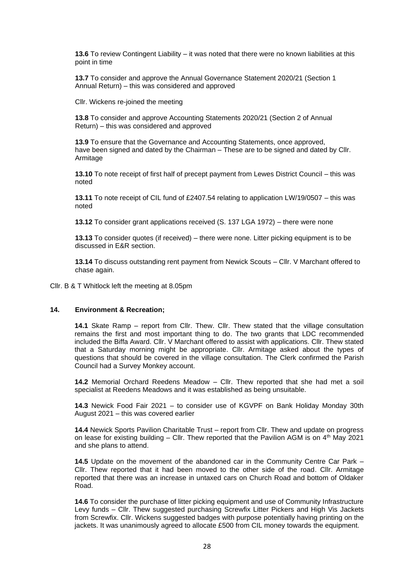**13.6** To review Contingent Liability – it was noted that there were no known liabilities at this point in time

**13.7** To consider and approve the Annual Governance Statement 2020/21 (Section 1 Annual Return) – this was considered and approved

Cllr. Wickens re-joined the meeting

**13.8** To consider and approve Accounting Statements 2020/21 (Section 2 of Annual Return) – this was considered and approved

**13.9** To ensure that the Governance and Accounting Statements, once approved, have been signed and dated by the Chairman – These are to be signed and dated by Cllr. Armitage

**13.10** To note receipt of first half of precept payment from Lewes District Council – this was noted

**13.11** To note receipt of CIL fund of £2407.54 relating to application LW/19/0507 – this was noted

**13.12** To consider grant applications received (S. 137 LGA 1972) – there were none

**13.13** To consider quotes (if received) – there were none. Litter picking equipment is to be discussed in E&R section.

**13.14** To discuss outstanding rent payment from Newick Scouts – Cllr. V Marchant offered to chase again.

Cllr. B & T Whitlock left the meeting at 8.05pm

## **14. Environment & Recreation;**

**14.1** Skate Ramp – report from Cllr. Thew. Cllr. Thew stated that the village consultation remains the first and most important thing to do. The two grants that LDC recommended included the Biffa Award. Cllr. V Marchant offered to assist with applications. Cllr. Thew stated that a Saturday morning might be appropriate. Cllr. Armitage asked about the types of questions that should be covered in the village consultation. The Clerk confirmed the Parish Council had a Survey Monkey account.

**14.2** Memorial Orchard Reedens Meadow – Cllr. Thew reported that she had met a soil specialist at Reedens Meadows and it was established as being unsuitable.

**14.3** Newick Food Fair 2021 – to consider use of KGVPF on Bank Holiday Monday 30th August 2021 – this was covered earlier

**14.4** Newick Sports Pavilion Charitable Trust – report from Cllr. Thew and update on progress on lease for existing building – Cllr. Thew reported that the Pavilion AGM is on  $4<sup>th</sup>$  May 2021 and she plans to attend.

**14.5** Update on the movement of the abandoned car in the Community Centre Car Park – Cllr. Thew reported that it had been moved to the other side of the road. Cllr. Armitage reported that there was an increase in untaxed cars on Church Road and bottom of Oldaker Road.

**14.6** To consider the purchase of litter picking equipment and use of Community Infrastructure Levy funds – Cllr. Thew suggested purchasing Screwfix Litter Pickers and High Vis Jackets from Screwfix. Cllr. Wickens suggested badges with purpose potentially having printing on the jackets. It was unanimously agreed to allocate £500 from CIL money towards the equipment.